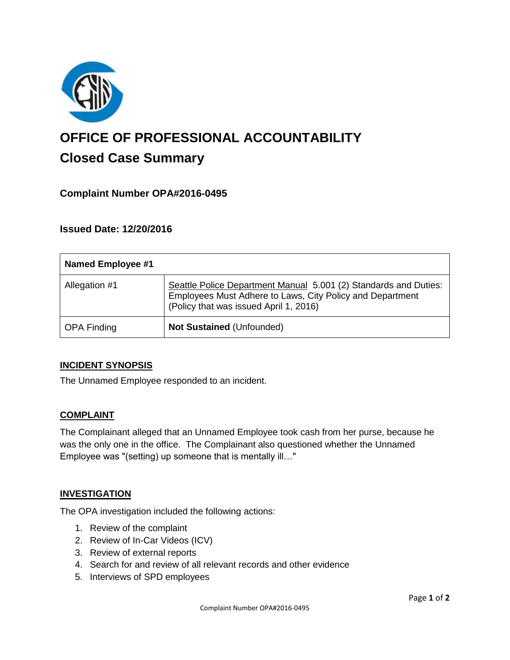

# **OFFICE OF PROFESSIONAL ACCOUNTABILITY Closed Case Summary**

# **Complaint Number OPA#2016-0495**

## **Issued Date: 12/20/2016**

| Named Employee #1  |                                                                                                                                                                         |
|--------------------|-------------------------------------------------------------------------------------------------------------------------------------------------------------------------|
| Allegation #1      | Seattle Police Department Manual 5.001 (2) Standards and Duties:<br>Employees Must Adhere to Laws, City Policy and Department<br>(Policy that was issued April 1, 2016) |
| <b>OPA Finding</b> | <b>Not Sustained (Unfounded)</b>                                                                                                                                        |

## **INCIDENT SYNOPSIS**

The Unnamed Employee responded to an incident.

## **COMPLAINT**

The Complainant alleged that an Unnamed Employee took cash from her purse, because he was the only one in the office. The Complainant also questioned whether the Unnamed Employee was "(setting) up someone that is mentally ill…"

#### **INVESTIGATION**

The OPA investigation included the following actions:

- 1. Review of the complaint
- 2. Review of In-Car Videos (ICV)
- 3. Review of external reports
- 4. Search for and review of all relevant records and other evidence
- 5. Interviews of SPD employees